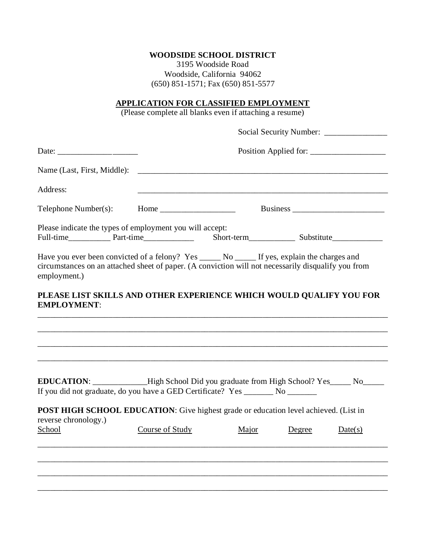## **WOODSIDE SCHOOL DISTRICT**

3195 Woodside Road Woodside, California 94062 (650) 851-1571; Fax (650) 851-5577

## **APPLICATION FOR CLASSIFIED EMPLOYMENT**

(Please complete all blanks even if attaching a resume)

|                                                                                                                                                                                                                     |                 | Position Applied for:                                                                                               |        |         |  |
|---------------------------------------------------------------------------------------------------------------------------------------------------------------------------------------------------------------------|-----------------|---------------------------------------------------------------------------------------------------------------------|--------|---------|--|
|                                                                                                                                                                                                                     |                 |                                                                                                                     |        |         |  |
| Address:                                                                                                                                                                                                            |                 | <u> 1980 - Johann John Stoff, deutscher Stoffen und der Stoffen und der Stoffen und der Stoffen und der Stoffen</u> |        |         |  |
|                                                                                                                                                                                                                     |                 |                                                                                                                     |        |         |  |
| Please indicate the types of employment you will accept:                                                                                                                                                            |                 |                                                                                                                     |        |         |  |
| Have you ever been convicted of a felony? Yes _____ No _____ If yes, explain the charges and<br>circumstances on an attached sheet of paper. (A conviction will not necessarily disqualify you from<br>employment.) |                 |                                                                                                                     |        |         |  |
| PLEASE LIST SKILLS AND OTHER EXPERIENCE WHICH WOULD QUALIFY YOU FOR<br><b>EMPLOYMENT:</b>                                                                                                                           |                 |                                                                                                                     |        |         |  |
|                                                                                                                                                                                                                     |                 |                                                                                                                     |        |         |  |
|                                                                                                                                                                                                                     |                 |                                                                                                                     |        |         |  |
| EDUCATION: ____________High School Did you graduate from High School? Yes_____ No_____<br>If you did not graduate, do you have a GED Certificate? Yes _______ No _______                                            |                 |                                                                                                                     |        |         |  |
| POST HIGH SCHOOL EDUCATION: Give highest grade or education level achieved. (List in<br>reverse chronology.)                                                                                                        |                 |                                                                                                                     |        |         |  |
| School                                                                                                                                                                                                              | Course of Study | Major                                                                                                               | Degree | Date(s) |  |
|                                                                                                                                                                                                                     |                 |                                                                                                                     |        |         |  |
|                                                                                                                                                                                                                     |                 |                                                                                                                     |        |         |  |
|                                                                                                                                                                                                                     |                 |                                                                                                                     |        |         |  |